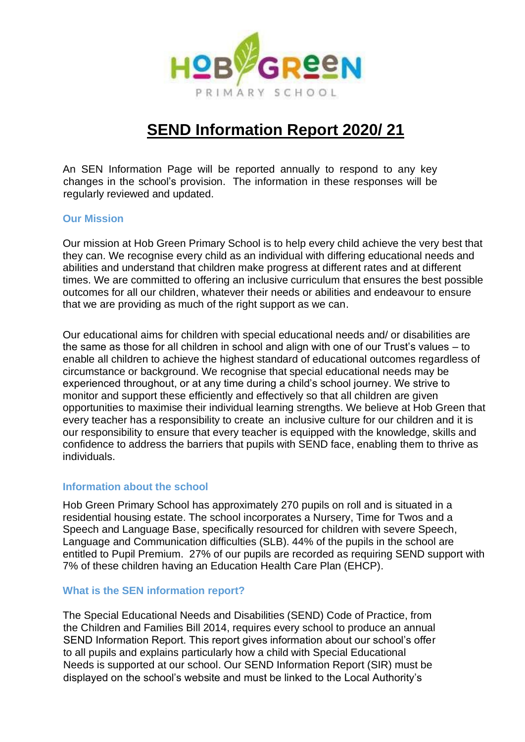

# **SEND Information Report 2020/ 21**

An SEN Information Page will be reported annually to respond to any key changes in the school's provision. The information in these responses will be regularly reviewed and updated.

#### **Our Mission**

Our mission at Hob Green Primary School is to help every child achieve the very best that they can. We recognise every child as an individual with differing educational needs and abilities and understand that children make progress at different rates and at different times. We are committed to offering an inclusive curriculum that ensures the best possible outcomes for all our children, whatever their needs or abilities and endeavour to ensure that we are providing as much of the right support as we can.

Our educational aims for children with special educational needs and/ or disabilities are the same as those for all children in school and align with one of our Trust's values – to enable all children to achieve the highest standard of educational outcomes regardless of circumstance or background. We recognise that special educational needs may be experienced throughout, or at any time during a child's school journey. We strive to monitor and support these efficiently and effectively so that all children are given opportunities to maximise their individual learning strengths. We believe at Hob Green that every teacher has a responsibility to create an inclusive culture for our children and it is our responsibility to ensure that every teacher is equipped with the knowledge, skills and confidence to address the barriers that pupils with SEND face, enabling them to thrive as individuals.

#### **Information about the school**

Hob Green Primary School has approximately 270 pupils on roll and is situated in a residential housing estate. The school incorporates a Nursery, Time for Twos and a Speech and Language Base, specifically resourced for children with severe Speech, Language and Communication difficulties (SLB). 44% of the pupils in the school are entitled to Pupil Premium. 27% of our pupils are recorded as requiring SEND support with 7% of these children having an Education Health Care Plan (EHCP).

#### **What is the SEN information report?**

The Special Educational Needs and Disabilities (SEND) Code of Practice, from the Children and Families Bill 2014, requires every school to produce an annual SEND Information Report. This report gives information about our school's offer to all pupils and explains particularly how a child with Special Educational Needs is supported at our school. Our SEND Information Report (SIR) must be displayed on the school's website and must be linked to the Local Authority's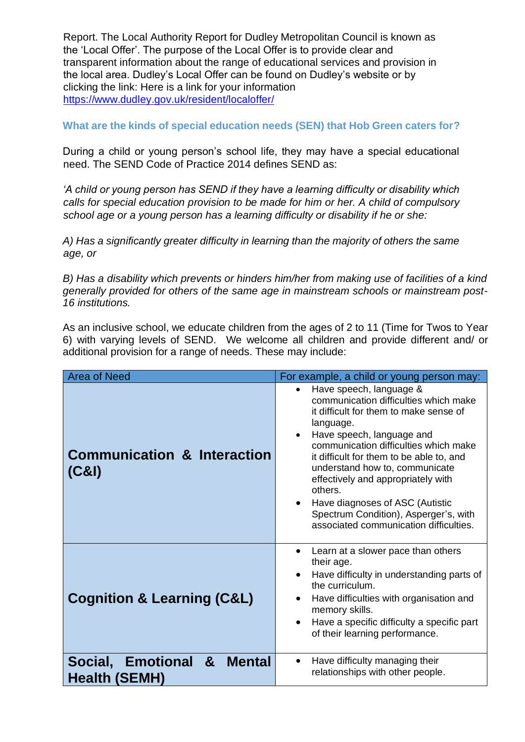Report. The Local Authority Report for Dudley Metropolitan Council is known as the 'Local Offer'. The purpose of the Local Offer is to provide clear and transparent information about the range of educational services and provision in the local area. Dudley's Local Offer can be found on Dudley's website or by clicking the link: Here is a link for your information <https://www.dudley.gov.uk/resident/localoffer/>

# **What are the kinds of special education needs (SEN) that Hob Green caters for?**

During a child or young person's school life, they may have a special educational need. The SEND Code of Practice 2014 defines SEND as:

*'A child or young person has SEND if they have a learning difficulty or disability which calls for special education provision to be made for him or her. A child of compulsory school age or a young person has a learning difficulty or disability if he or she:*

*A) Has a significantly greater difficulty in learning than the majority of others the same age, or* 

*B) Has a disability which prevents or hinders him/her from making use of facilities of a kind generally provided for others of the same age in mainstream schools or mainstream post-16 institutions.* 

As an inclusive school, we educate children from the ages of 2 to 11 (Time for Twos to Year 6) with varying levels of SEND. We welcome all children and provide different and/ or additional provision for a range of needs. These may include:

| <b>Area of Need</b>                                          | For example, a child or young person may:                                                                                                                                                                                                                                                                                                                                                                                                                                    |
|--------------------------------------------------------------|------------------------------------------------------------------------------------------------------------------------------------------------------------------------------------------------------------------------------------------------------------------------------------------------------------------------------------------------------------------------------------------------------------------------------------------------------------------------------|
| <b>Communication &amp; Interaction</b><br>(C&1)              | Have speech, language &<br>$\bullet$<br>communication difficulties which make<br>it difficult for them to make sense of<br>language.<br>Have speech, language and<br>$\bullet$<br>communication difficulties which make<br>it difficult for them to be able to, and<br>understand how to, communicate<br>effectively and appropriately with<br>others.<br>Have diagnoses of ASC (Autistic<br>Spectrum Condition), Asperger's, with<br>associated communication difficulties. |
| <b>Cognition &amp; Learning (C&amp;L)</b>                    | Learn at a slower pace than others<br>$\bullet$<br>their age.<br>Have difficulty in understanding parts of<br>$\bullet$<br>the curriculum.<br>Have difficulties with organisation and<br>$\bullet$<br>memory skills.<br>Have a specific difficulty a specific part<br>$\bullet$<br>of their learning performance.                                                                                                                                                            |
| <b>Mental</b><br>Social, Emotional &<br><b>Health (SEMH)</b> | Have difficulty managing their<br>$\bullet$<br>relationships with other people.                                                                                                                                                                                                                                                                                                                                                                                              |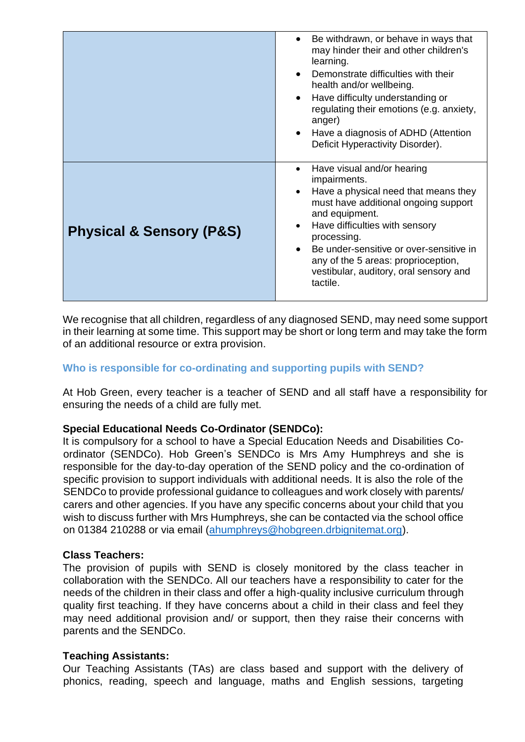|                                         | Be withdrawn, or behave in ways that<br>$\bullet$<br>may hinder their and other children's<br>learning.<br>Demonstrate difficulties with their<br>health and/or wellbeing.<br>Have difficulty understanding or<br>$\bullet$<br>regulating their emotions (e.g. anxiety,<br>anger)<br>Have a diagnosis of ADHD (Attention<br>$\bullet$<br>Deficit Hyperactivity Disorder). |
|-----------------------------------------|---------------------------------------------------------------------------------------------------------------------------------------------------------------------------------------------------------------------------------------------------------------------------------------------------------------------------------------------------------------------------|
| <b>Physical &amp; Sensory (P&amp;S)</b> | Have visual and/or hearing<br>$\bullet$<br>impairments.<br>Have a physical need that means they<br>$\bullet$<br>must have additional ongoing support<br>and equipment.<br>Have difficulties with sensory<br>processing.<br>Be under-sensitive or over-sensitive in<br>any of the 5 areas: proprioception,<br>vestibular, auditory, oral sensory and<br>tactile.           |

We recognise that all children, regardless of any diagnosed SEND, may need some support in their learning at some time. This support may be short or long term and may take the form of an additional resource or extra provision.

# **Who is responsible for co-ordinating and supporting pupils with SEND?**

At Hob Green, every teacher is a teacher of SEND and all staff have a responsibility for ensuring the needs of a child are fully met.

#### **Special Educational Needs Co-Ordinator (SENDCo):**

It is compulsory for a school to have a Special Education Needs and Disabilities Coordinator (SENDCo). Hob Green's SENDCo is Mrs Amy Humphreys and she is responsible for the day-to-day operation of the SEND policy and the co-ordination of specific provision to support individuals with additional needs. It is also the role of the SENDCo to provide professional guidance to colleagues and work closely with parents/ carers and other agencies. If you have any specific concerns about your child that you wish to discuss further with Mrs Humphreys, she can be contacted via the school office on 01384 210288 or via email [\(ahumphreys@hobgreen.drbignitemat.org\)](mailto:ahumphreys@hobgreen.drbignitemat.org).

#### **Class Teachers:**

The provision of pupils with SEND is closely monitored by the class teacher in collaboration with the SENDCo. All our teachers have a responsibility to cater for the needs of the children in their class and offer a high-quality inclusive curriculum through quality first teaching. If they have concerns about a child in their class and feel they may need additional provision and/ or support, then they raise their concerns with parents and the SENDCo.

#### **Teaching Assistants:**

Our Teaching Assistants (TAs) are class based and support with the delivery of phonics, reading, speech and language, maths and English sessions, targeting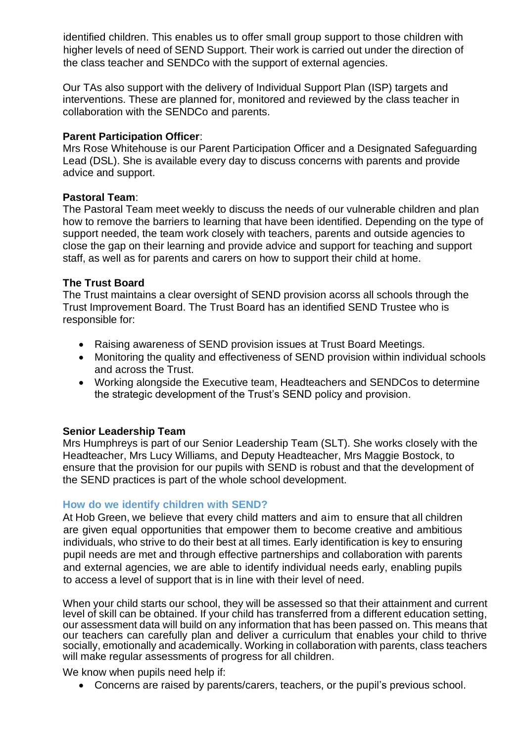identified children. This enables us to offer small group support to those children with higher levels of need of SEND Support. Their work is carried out under the direction of the class teacher and SENDCo with the support of external agencies.

Our TAs also support with the delivery of Individual Support Plan (ISP) targets and interventions. These are planned for, monitored and reviewed by the class teacher in collaboration with the SENDCo and parents.

#### **Parent Participation Officer**:

Mrs Rose Whitehouse is our Parent Participation Officer and a Designated Safeguarding Lead (DSL). She is available every day to discuss concerns with parents and provide advice and support.

## **Pastoral Team**:

The Pastoral Team meet weekly to discuss the needs of our vulnerable children and plan how to remove the barriers to learning that have been identified. Depending on the type of support needed, the team work closely with teachers, parents and outside agencies to close the gap on their learning and provide advice and support for teaching and support staff, as well as for parents and carers on how to support their child at home.

## **The Trust Board**

The Trust maintains a clear oversight of SEND provision acorss all schools through the Trust Improvement Board. The Trust Board has an identified SEND Trustee who is responsible for:

- Raising awareness of SEND provision issues at Trust Board Meetings.
- Monitoring the quality and effectiveness of SEND provision within individual schools and across the Trust.
- Working alongside the Executive team, Headteachers and SENDCos to determine the strategic development of the Trust's SEND policy and provision.

# **Senior Leadership Team**

Mrs Humphreys is part of our Senior Leadership Team (SLT). She works closely with the Headteacher, Mrs Lucy Williams, and Deputy Headteacher, Mrs Maggie Bostock, to ensure that the provision for our pupils with SEND is robust and that the development of the SEND practices is part of the whole school development.

# **How do we identify children with SEND?**

At Hob Green, we believe that every child matters and aim to ensure that all children are given equal opportunities that empower them to become creative and ambitious individuals, who strive to do their best at all times. Early identification is key to ensuring pupil needs are met and through effective partnerships and collaboration with parents and external agencies, we are able to identify individual needs early, enabling pupils to access a level of support that is in line with their level of need.

When your child starts our school, they will be assessed so that their attainment and current level of skill can be obtained. If your child has transferred from a different education setting, our assessment data will build on any information that has been passed on. This means that our teachers can carefully plan and deliver a curriculum that enables your child to thrive socially, emotionally and academically. Working in collaboration with parents, class teachers will make regular assessments of progress for all children.

We know when pupils need help if:

• Concerns are raised by parents/carers, teachers, or the pupil's previous school.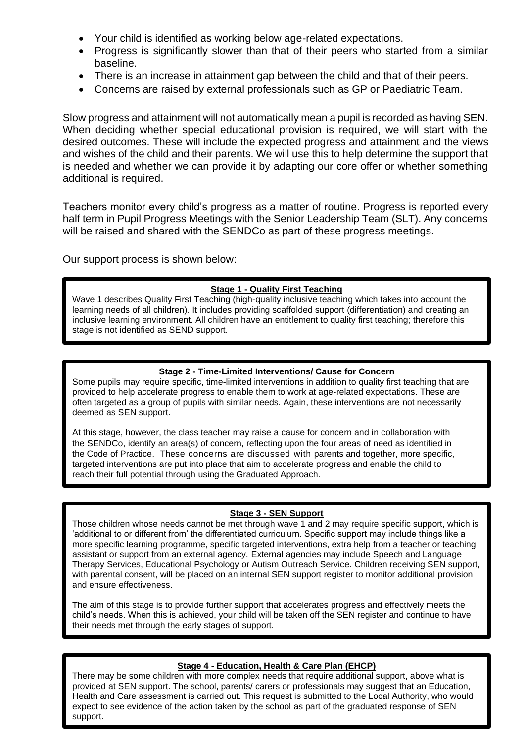- Your child is identified as working below age-related expectations.
- Progress is significantly slower than that of their peers who started from a similar baseline.
- There is an increase in attainment gap between the child and that of their peers.
- Concerns are raised by external professionals such as GP or Paediatric Team.

Slow progress and attainment will not automatically mean a pupil is recorded as having SEN. When deciding whether special educational provision is required, we will start with the desired outcomes. These will include the expected progress and attainment and the views and wishes of the child and their parents. We will use this to help determine the support that is needed and whether we can provide it by adapting our core offer or whether something additional is required.

Teachers monitor every child's progress as a matter of routine. Progress is reported every half term in Pupil Progress Meetings with the Senior Leadership Team (SLT). Any concerns will be raised and shared with the SENDCo as part of these progress meetings.

Our support process is shown below:

#### **Stage 1 - Quality First Teaching**

Wave 1 describes Quality First Teaching (high-quality inclusive teaching which takes into account the learning needs of all children). It includes providing scaffolded support (differentiation) and creating an inclusive learning environment. All children have an entitlement to quality first teaching; therefore this stage is not identified as SEND support.

#### **Stage 2 - Time-Limited Interventions/ Cause for Concern**

Some pupils may require specific, time-limited interventions in addition to quality first teaching that are provided to help accelerate progress to enable them to work at age-related expectations. These are often targeted as a group of pupils with similar needs. Again, these interventions are not necessarily deemed as SEN support.

At this stage, however, the class teacher may raise a cause for concern and in collaboration with the SENDCo, identify an area(s) of concern, reflecting upon the four areas of need as identified in the Code of Practice. These concerns are discussed with parents and together, more specific, targeted interventions are put into place that aim to accelerate progress and enable the child to reach their full potential through using the Graduated Approach.

#### **Stage 3 - SEN Support**

Those children whose needs cannot be met through wave 1 and 2 may require specific support, which is 'additional to or different from' the differentiated curriculum. Specific support may include things like a more specific learning programme, specific targeted interventions, extra help from a teacher or teaching assistant or support from an external agency. External agencies may include Speech and Language Therapy Services, Educational Psychology or Autism Outreach Service. Children receiving SEN support, with parental consent, will be placed on an internal SEN support register to monitor additional provision and ensure effectiveness.

The aim of this stage is to provide further support that accelerates progress and effectively meets the child's needs. When this is achieved, your child will be taken off the SEN register and continue to have their needs met through the early stages of support.

#### **Stage 4 - Education, Health & Care Plan (EHCP)**

There may be some children with more complex needs that require additional support, above what is provided at SEN support. The school, parents/ carers or professionals may suggest that an Education, Health and Care assessment is carried out. This request is submitted to the Local Authority, who would expect to see evidence of the action taken by the school as part of the graduated response of SEN support.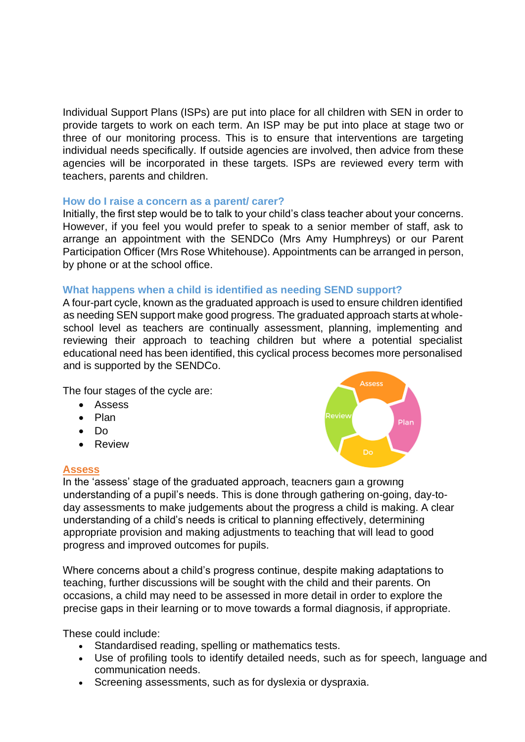Individual Support Plans (ISPs) are put into place for all children with SEN in order to provide targets to work on each term. An ISP may be put into place at stage two or three of our monitoring process. This is to ensure that interventions are targeting individual needs specifically. If outside agencies are involved, then advice from these agencies will be incorporated in these targets. ISPs are reviewed every term with teachers, parents and children.

#### **How do I raise a concern as a parent/ carer?**

Initially, the first step would be to talk to your child's class teacher about your concerns. However, if you feel you would prefer to speak to a senior member of staff, ask to arrange an appointment with the SENDCo (Mrs Amy Humphreys) or our Parent Participation Officer (Mrs Rose Whitehouse). Appointments can be arranged in person, by phone or at the school office.

#### **What happens when a child is identified as needing SEND support?**

A four-part cycle, known as the graduated approach is used to ensure children identified as needing SEN support make good progress. The graduated approach starts at wholeschool level as teachers are continually assessment, planning, implementing and reviewing their approach to teaching children but where a potential specialist educational need has been identified, this cyclical process becomes more personalised and is supported by the SENDCo.

The four stages of the cycle are:

- Assess
- Plan
- Do
- Review

#### **Assess**



In the 'assess' stage of the graduated approach, teachers gain a growing understanding of a pupil's needs. This is done through gathering on-going, day-today assessments to make judgements about the progress a child is making. A clear understanding of a child's needs is critical to planning effectively, determining appropriate provision and making adjustments to teaching that will lead to good progress and improved outcomes for pupils.

Where concerns about a child's progress continue, despite making adaptations to teaching, further discussions will be sought with the child and their parents. On occasions, a child may need to be assessed in more detail in order to explore the precise gaps in their learning or to move towards a formal diagnosis, if appropriate.

These could include:

- Standardised reading, spelling or mathematics tests.
- Use of profiling tools to identify detailed needs, such as for speech, language and communication needs.
- Screening assessments, such as for dyslexia or dyspraxia.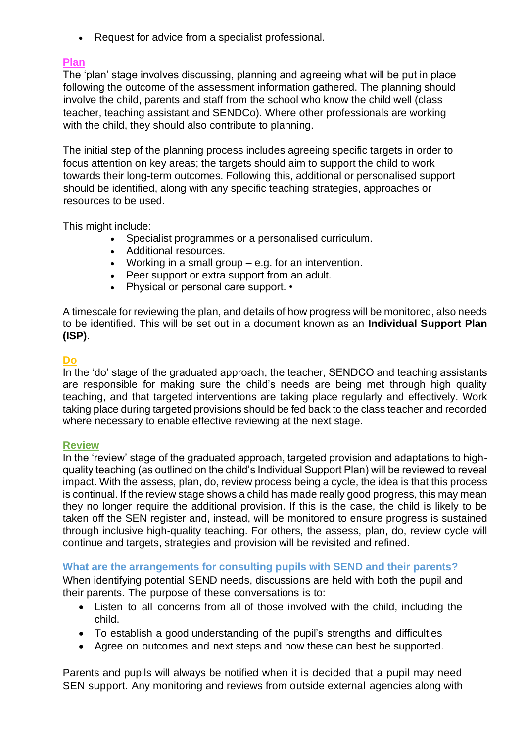• Request for advice from a specialist professional.

## **Plan**

The 'plan' stage involves discussing, planning and agreeing what will be put in place following the outcome of the assessment information gathered. The planning should involve the child, parents and staff from the school who know the child well (class teacher, teaching assistant and SENDCo). Where other professionals are working with the child, they should also contribute to planning.

The initial step of the planning process includes agreeing specific targets in order to focus attention on key areas; the targets should aim to support the child to work towards their long-term outcomes. Following this, additional or personalised support should be identified, along with any specific teaching strategies, approaches or resources to be used.

This might include:

- Specialist programmes or a personalised curriculum.
- Additional resources.
- Working in a small group e.g. for an intervention.
- Peer support or extra support from an adult.
- Physical or personal care support. •

A timescale for reviewing the plan, and details of how progress will be monitored, also needs to be identified. This will be set out in a document known as an **Individual Support Plan (ISP)**.

## **Do**

In the 'do' stage of the graduated approach, the teacher, SENDCO and teaching assistants are responsible for making sure the child's needs are being met through high quality teaching, and that targeted interventions are taking place regularly and effectively. Work taking place during targeted provisions should be fed back to the class teacher and recorded where necessary to enable effective reviewing at the next stage.

#### **Review**

In the 'review' stage of the graduated approach, targeted provision and adaptations to highquality teaching (as outlined on the child's Individual Support Plan) will be reviewed to reveal impact. With the assess, plan, do, review process being a cycle, the idea is that this process is continual. If the review stage shows a child has made really good progress, this may mean they no longer require the additional provision. If this is the case, the child is likely to be taken off the SEN register and, instead, will be monitored to ensure progress is sustained through inclusive high-quality teaching. For others, the assess, plan, do, review cycle will continue and targets, strategies and provision will be revisited and refined.

#### **What are the arrangements for consulting pupils with SEND and their parents?**

When identifying potential SEND needs, discussions are held with both the pupil and their parents. The purpose of these conversations is to:

- Listen to all concerns from all of those involved with the child, including the child.
- To establish a good understanding of the pupil's strengths and difficulties
- Agree on outcomes and next steps and how these can best be supported.

Parents and pupils will always be notified when it is decided that a pupil may need SEN support. Any monitoring and reviews from outside external agencies along with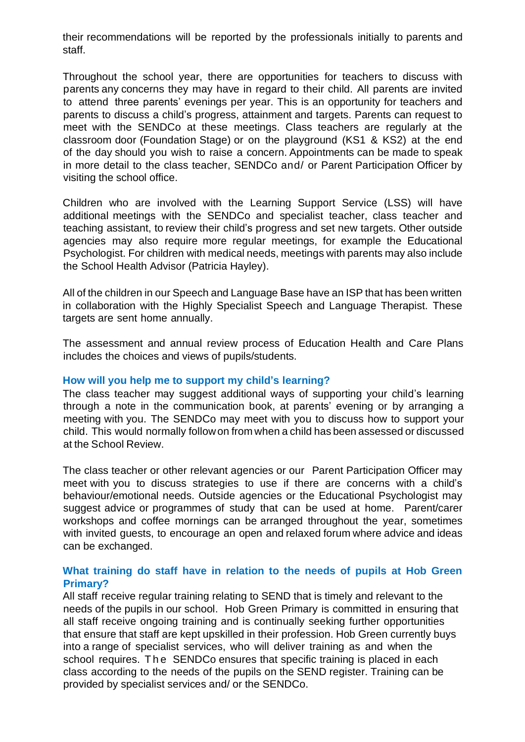their recommendations will be reported by the professionals initially to parents and staff.

Throughout the school year, there are opportunities for teachers to discuss with parents any concerns they may have in regard to their child. All parents are invited to attend three parents' evenings per year. This is an opportunity for teachers and parents to discuss a child's progress, attainment and targets. Parents can request to meet with the SENDCo at these meetings. Class teachers are regularly at the classroom door (Foundation Stage) or on the playground (KS1 & KS2) at the end of the day should you wish to raise a concern. Appointments can be made to speak in more detail to the class teacher, SENDCo and/ or Parent Participation Officer by visiting the school office.

Children who are involved with the Learning Support Service (LSS) will have additional meetings with the SENDCo and specialist teacher, class teacher and teaching assistant, to review their child's progress and set new targets. Other outside agencies may also require more regular meetings, for example the Educational Psychologist. For children with medical needs, meetings with parents may also include the School Health Advisor (Patricia Hayley).

All of the children in our Speech and Language Base have an ISP that has been written in collaboration with the Highly Specialist Speech and Language Therapist. These targets are sent home annually.

The assessment and annual review process of Education Health and Care Plans includes the choices and views of pupils/students.

#### **How will you help me to support my child's learning?**

The class teacher may suggest additional ways of supporting your child's learning through a note in the communication book, at parents' evening or by arranging a meeting with you. The SENDCo may meet with you to discuss how to support your child. This would normally followon from when a child has been assessed or discussed at the School Review.

The class teacher or other relevant agencies or our Parent Participation Officer may meet with you to discuss strategies to use if there are concerns with a child's behaviour/emotional needs. Outside agencies or the Educational Psychologist may suggest advice or programmes of study that can be used at home. Parent/carer workshops and coffee mornings can be arranged throughout the year, sometimes with invited guests, to encourage an open and relaxed forum where advice and ideas can be exchanged.

#### **What training do staff have in relation to the needs of pupils at Hob Green Primary?**

All staff receive regular training relating to SEND that is timely and relevant to the needs of the pupils in our school. Hob Green Primary is committed in ensuring that all staff receive ongoing training and is continually seeking further opportunities that ensure that staff are kept upskilled in their profession. Hob Green currently buys into a range of specialist services, who will deliver training as and when the school requires. The SENDCo ensures that specific training is placed in each class according to the needs of the pupils on the SEND register. Training can be provided by specialist services and/ or the SENDCo.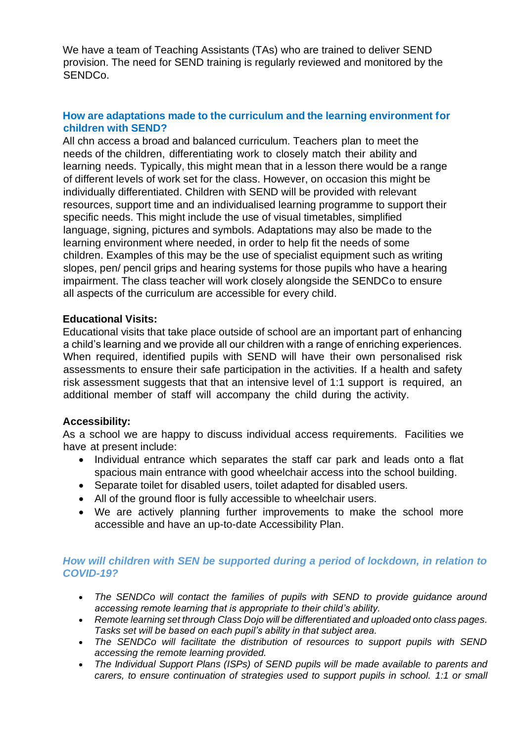We have a team of Teaching Assistants (TAs) who are trained to deliver SEND provision. The need for SEND training is regularly reviewed and monitored by the SENDCo.

# **How are adaptations made to the curriculum and the learning environment for children with SEND?**

All chn access a broad and balanced curriculum. Teachers plan to meet the needs of the children, differentiating work to closely match their ability and learning needs. Typically, this might mean that in a lesson there would be a range of different levels of work set for the class. However, on occasion this might be individually differentiated. Children with SEND will be provided with relevant resources, support time and an individualised learning programme to support their specific needs. This might include the use of visual timetables, simplified language, signing, pictures and symbols. Adaptations may also be made to the learning environment where needed, in order to help fit the needs of some children. Examples of this may be the use of specialist equipment such as writing slopes, pen/ pencil grips and hearing systems for those pupils who have a hearing impairment. The class teacher will work closely alongside the SENDCo to ensure all aspects of the curriculum are accessible for every child.

## **Educational Visits:**

Educational visits that take place outside of school are an important part of enhancing a child's learning and we provide all our children with a range of enriching experiences. When required, identified pupils with SEND will have their own personalised risk assessments to ensure their safe participation in the activities. If a health and safety risk assessment suggests that that an intensive level of 1:1 support is required, an additional member of staff will accompany the child during the activity.

#### **Accessibility:**

As a school we are happy to discuss individual access requirements. Facilities we have at present include:

- Individual entrance which separates the staff car park and leads onto a flat spacious main entrance with good wheelchair access into the school building.
- Separate toilet for disabled users, toilet adapted for disabled users.
- All of the ground floor is fully accessible to wheelchair users.
- We are actively planning further improvements to make the school more accessible and have an up-to-date Accessibility Plan.

## *How will children with SEN be supported during a period of lockdown, in relation to COVID-19?*

- *The SENDCo will contact the families of pupils with SEND to provide guidance around accessing remote learning that is appropriate to their child's ability.*
- *Remote learning set through Class Dojo will be differentiated and uploaded onto class pages. Tasks set will be based on each pupil's ability in that subject area.*
- *The SENDCo will facilitate the distribution of resources to support pupils with SEND accessing the remote learning provided.*
- *The Individual Support Plans (ISPs) of SEND pupils will be made available to parents and carers, to ensure continuation of strategies used to support pupils in school. 1:1 or small*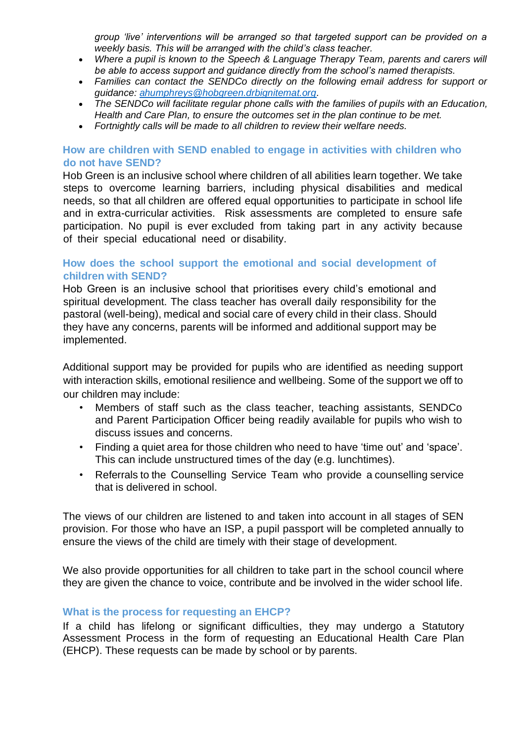*group 'live' interventions will be arranged so that targeted support can be provided on a weekly basis. This will be arranged with the child's class teacher.* 

- *Where a pupil is known to the Speech & Language Therapy Team, parents and carers will be able to access support and guidance directly from the school's named therapists.*
- *Families can contact the SENDCo directly on the following email address for support or guidance: [ahumphreys@hobgreen.drbignitemat.org.](mailto:ahumphreys@hobgreen.drbignitemat.org)*
- *The SENDCo will facilitate regular phone calls with the families of pupils with an Education, Health and Care Plan, to ensure the outcomes set in the plan continue to be met.*
- *Fortnightly calls will be made to all children to review their welfare needs.*

## **How are children with SEND enabled to engage in activities with children who do not have SEND?**

Hob Green is an inclusive school where children of all abilities learn together. We take steps to overcome learning barriers, including physical disabilities and medical needs, so that all children are offered equal opportunities to participate in school life and in extra-curricular activities. Risk assessments are completed to ensure safe participation. No pupil is ever excluded from taking part in any activity because of their special educational need or disability.

## **How does the school support the emotional and social development of children with SEND?**

Hob Green is an inclusive school that prioritises every child's emotional and spiritual development. The class teacher has overall daily responsibility for the pastoral (well-being), medical and social care of every child in their class. Should they have any concerns, parents will be informed and additional support may be implemented.

Additional support may be provided for pupils who are identified as needing support with interaction skills, emotional resilience and wellbeing. Some of the support we off to our children may include:

- Members of staff such as the class teacher, teaching assistants, SENDCo and Parent Participation Officer being readily available for pupils who wish to discuss issues and concerns.
- Finding a quiet area for those children who need to have 'time out' and 'space'. This can include unstructured times of the day (e.g. lunchtimes).
- Referrals to the Counselling Service Team who provide a counselling service that is delivered in school.

The views of our children are listened to and taken into account in all stages of SEN provision. For those who have an ISP, a pupil passport will be completed annually to ensure the views of the child are timely with their stage of development.

We also provide opportunities for all children to take part in the school council where they are given the chance to voice, contribute and be involved in the wider school life.

#### **What is the process for requesting an EHCP?**

If a child has lifelong or significant difficulties, they may undergo a Statutory Assessment Process in the form of requesting an Educational Health Care Plan (EHCP). These requests can be made by school or by parents.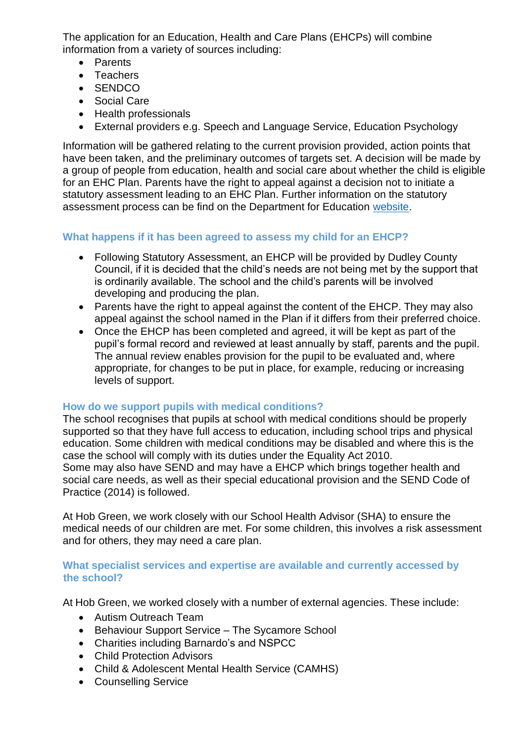The application for an Education, Health and Care Plans (EHCPs) will combine information from a variety of sources including:

- Parents
- Teachers
- SENDCO
- Social Care
- Health professionals
- External providers e.g. Speech and Language Service, Education Psychology

Information will be gathered relating to the current provision provided, action points that have been taken, and the preliminary outcomes of targets set. A decision will be made by a group of people from education, health and social care about whether the child is eligible for an EHC Plan. Parents have the right to appeal against a decision not to initiate a statutory assessment leading to an EHC Plan. Further information on the statutory assessment process can be find on the Department for Education [website.](https://www.specialneedsjungle.com/wp-content/uploads/2018/10/SNJ-FLOWCHART3x-2018.pdf)

# **What happens if it has been agreed to assess my child for an EHCP?**

- Following Statutory Assessment, an EHCP will be provided by Dudley County Council, if it is decided that the child's needs are not being met by the support that is ordinarily available. The school and the child's parents will be involved developing and producing the plan.
- Parents have the right to appeal against the content of the EHCP. They may also appeal against the school named in the Plan if it differs from their preferred choice.
- Once the EHCP has been completed and agreed, it will be kept as part of the pupil's formal record and reviewed at least annually by staff, parents and the pupil. The annual review enables provision for the pupil to be evaluated and, where appropriate, for changes to be put in place, for example, reducing or increasing levels of support.

# **How do we support pupils with medical conditions?**

The school recognises that pupils at school with medical conditions should be properly supported so that they have full access to education, including school trips and physical education. Some children with medical conditions may be disabled and where this is the case the school will comply with its duties under the Equality Act 2010. Some may also have SEND and may have a EHCP which brings together health and social care needs, as well as their special educational provision and the SEND Code of Practice (2014) is followed.

At Hob Green, we work closely with our School Health Advisor (SHA) to ensure the medical needs of our children are met. For some children, this involves a risk assessment and for others, they may need a care plan.

## **What specialist services and expertise are available and currently accessed by the school?**

At Hob Green, we worked closely with a number of external agencies. These include:

- Autism Outreach Team
- Behaviour Support Service The Sycamore School
- Charities including Barnardo's and NSPCC
- Child Protection Advisors
- Child & Adolescent Mental Health Service (CAMHS)
- Counselling Service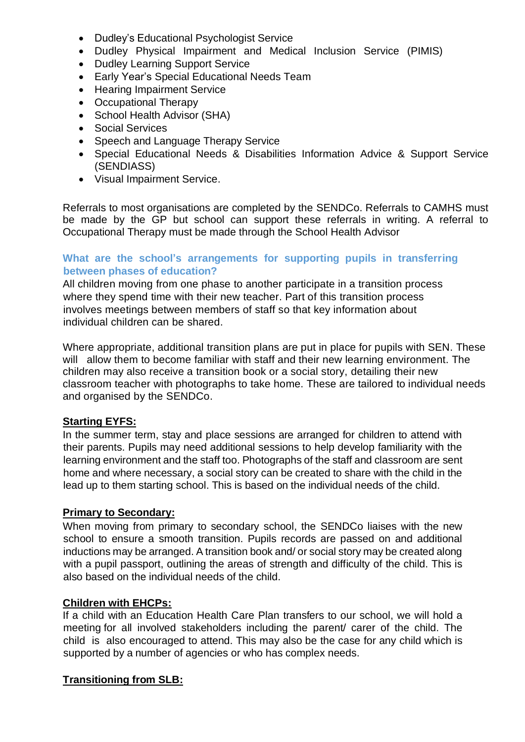- Dudley's Educational Psychologist Service
- Dudley Physical Impairment and Medical Inclusion Service (PIMIS)
- Dudley Learning Support Service
- Early Year's Special Educational Needs Team
- Hearing Impairment Service
- Occupational Therapy
- School Health Advisor (SHA)
- Social Services
- Speech and Language Therapy Service
- Special Educational Needs & Disabilities Information Advice & Support Service (SENDIASS)
- Visual Impairment Service.

Referrals to most organisations are completed by the SENDCo. Referrals to CAMHS must be made by the GP but school can support these referrals in writing. A referral to Occupational Therapy must be made through the School Health Advisor

## **What are the school's arrangements for supporting pupils in transferring between phases of education?**

All children moving from one phase to another participate in a transition process where they spend time with their new teacher. Part of this transition process involves meetings between members of staff so that key information about individual children can be shared.

Where appropriate, additional transition plans are put in place for pupils with SEN. These will allow them to become familiar with staff and their new learning environment. The children may also receive a transition book or a social story, detailing their new classroom teacher with photographs to take home. These are tailored to individual needs and organised by the SENDCo.

# **Starting EYFS:**

In the summer term, stay and place sessions are arranged for children to attend with their parents. Pupils may need additional sessions to help develop familiarity with the learning environment and the staff too. Photographs of the staff and classroom are sent home and where necessary, a social story can be created to share with the child in the lead up to them starting school. This is based on the individual needs of the child.

# **Primary to Secondary:**

When moving from primary to secondary school, the SENDCo liaises with the new school to ensure a smooth transition. Pupils records are passed on and additional inductions may be arranged. A transition book and/ or social story may be created along with a pupil passport, outlining the areas of strength and difficulty of the child. This is also based on the individual needs of the child.

# **Children with EHCPs:**

If a child with an Education Health Care Plan transfers to our school, we will hold a meeting for all involved stakeholders including the parent/ carer of the child. The child is also encouraged to attend. This may also be the case for any child which is supported by a number of agencies or who has complex needs.

# **Transitioning from SLB:**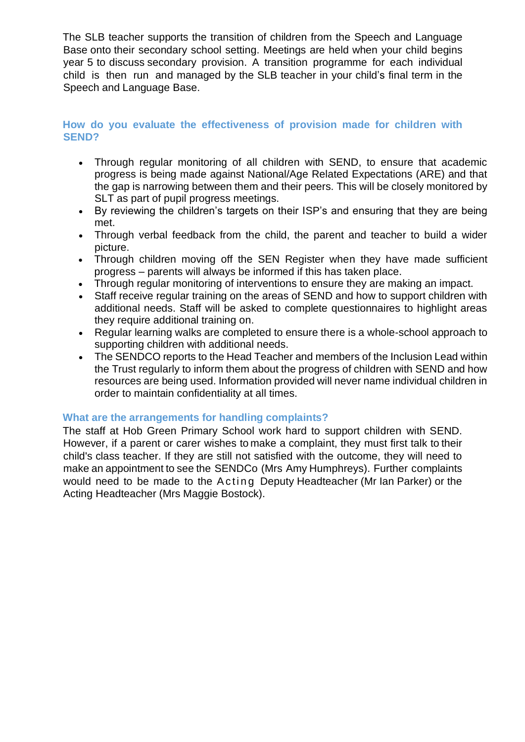The SLB teacher supports the transition of children from the Speech and Language Base onto their secondary school setting. Meetings are held when your child begins year 5 to discuss secondary provision. A transition programme for each individual child is then run and managed by the SLB teacher in your child's final term in the Speech and Language Base.

## **How do you evaluate the effectiveness of provision made for children with SEND?**

- Through regular monitoring of all children with SEND, to ensure that academic progress is being made against National/Age Related Expectations (ARE) and that the gap is narrowing between them and their peers. This will be closely monitored by SLT as part of pupil progress meetings.
- By reviewing the children's targets on their ISP's and ensuring that they are being met.
- Through verbal feedback from the child, the parent and teacher to build a wider picture.
- Through children moving off the SEN Register when they have made sufficient progress – parents will always be informed if this has taken place.
- Through regular monitoring of interventions to ensure they are making an impact.
- Staff receive regular training on the areas of SEND and how to support children with additional needs. Staff will be asked to complete questionnaires to highlight areas they require additional training on.
- Regular learning walks are completed to ensure there is a whole-school approach to supporting children with additional needs.
- The SENDCO reports to the Head Teacher and members of the Inclusion Lead within the Trust regularly to inform them about the progress of children with SEND and how resources are being used. Information provided will never name individual children in order to maintain confidentiality at all times.

# **What are the arrangements for handling complaints?**

The staff at Hob Green Primary School work hard to support children with SEND. However, if a parent or carer wishes to make a complaint, they must first talk to their child's class teacher. If they are still not satisfied with the outcome, they will need to make an appointment to see the SENDCo (Mrs Amy Humphreys). Further complaints would need to be made to the Acting Deputy Headteacher (Mr Ian Parker) or the Acting Headteacher (Mrs Maggie Bostock).